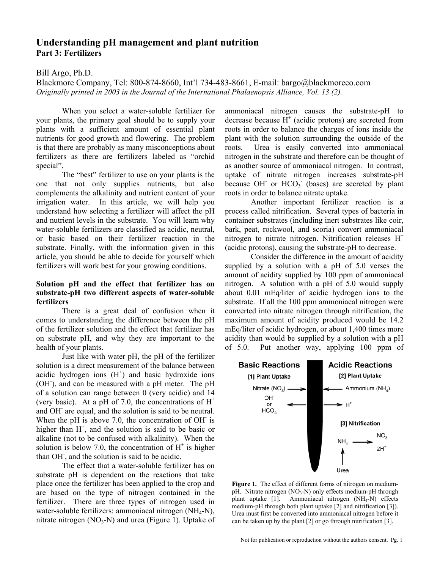# **Understanding pH management and plant nutrition Part 3: Fertilizers**

### Bill Argo, Ph.D.

Blackmore Company, Tel: 800-874-8660, Int'l 734-483-8661, E-mail: bargo@blackmoreco.com *Originally printed in 2003 in the Journal of the International Phalaenopsis Alliance, Vol. 13 (2).* 

When you select a water-soluble fertilizer for your plants, the primary goal should be to supply your plants with a sufficient amount of essential plant nutrients for good growth and flowering. The problem is that there are probably as many misconceptions about fertilizers as there are fertilizers labeled as "orchid special".

The "best" fertilizer to use on your plants is the one that not only supplies nutrients, but also complements the alkalinity and nutrient content of your irrigation water. In this article, we will help you understand how selecting a fertilizer will affect the pH and nutrient levels in the substrate. You will learn why water-soluble fertilizers are classified as acidic, neutral, or basic based on their fertilizer reaction in the substrate. Finally, with the information given in this article, you should be able to decide for yourself which fertilizers will work best for your growing conditions.

### **Solution pH and the effect that fertilizer has on substrate-pH two different aspects of water-soluble fertilizers**

There is a great deal of confusion when it comes to understanding the difference between the pH of the fertilizer solution and the effect that fertilizer has on substrate pH, and why they are important to the health of your plants.

Just like with water pH, the pH of the fertilizer solution is a direct measurement of the balance between acidic hydrogen ions  $(H<sup>+</sup>)$  and basic hydroxide ions (OH), and can be measured with a pH meter. The pH of a solution can range between 0 (very acidic) and 14 (very basic). At a pH of 7.0, the concentrations of  $H^+$ and OH- are equal, and the solution is said to be neutral. When the pH is above 7.0, the concentration of OH is higher than  $H^+$ , and the solution is said to be basic or alkaline (not to be confused with alkalinity). When the solution is below 7.0, the concentration of  $H^+$  is higher than OH- , and the solution is said to be acidic.

 The effect that a water-soluble fertilizer has on substrate pH is dependent on the reactions that take place once the fertilizer has been applied to the crop and are based on the type of nitrogen contained in the fertilizer. There are three types of nitrogen used in water-soluble fertilizers: ammoniacal nitrogen (NH<sub>4</sub>-N), nitrate nitrogen  $(NO_3-N)$  and urea (Figure 1). Uptake of ammoniacal nitrogen causes the substrate-pH to decrease because  $H^+$  (acidic protons) are secreted from roots in order to balance the charges of ions inside the plant with the solution surrounding the outside of the roots. Urea is easily converted into ammoniacal nitrogen in the substrate and therefore can be thought of as another source of ammoniacal nitrogen. In contrast, uptake of nitrate nitrogen increases substrate-pH because OH $^{\circ}$  or HCO<sub>3</sub> $^{\circ}$  (bases) are secreted by plant roots in order to balance nitrate uptake.

Another important fertilizer reaction is a process called nitrification. Several types of bacteria in container substrates (including inert substrates like coir, bark, peat, rockwool, and scoria) convert ammoniacal nitrogen to nitrate nitrogen. Nitrification releases  $H^+$ (acidic protons), causing the substrate-pH to decrease.

Consider the difference in the amount of acidity supplied by a solution with a pH of 5.0 verses the amount of acidity supplied by 100 ppm of ammoniacal nitrogen. A solution with a pH of 5.0 would supply about 0.01 mEq/liter of acidic hydrogen ions to the substrate. If all the 100 ppm ammoniacal nitrogen were converted into nitrate nitrogen through nitrification, the maximum amount of acidity produced would be 14.2 mEq/liter of acidic hydrogen, or about 1,400 times more acidity than would be supplied by a solution with a pH of 5.0. Put another way, applying 100 ppm of



**Figure 1.** The effect of different forms of nitrogen on mediumpH. Nitrate nitrogen  $(NO_3-N)$  only effects medium-pH through plant uptake [1]. Ammoniacal nitrogen  $(NH_4-N)$  effects Ammoniacal nitrogen  $(NH_4-N)$  effects medium-pH through both plant uptake [2] and nitrification [3]). Urea must first be converted into ammoniacal nitrogen before it can be taken up by the plant [2] or go through nitrification [3].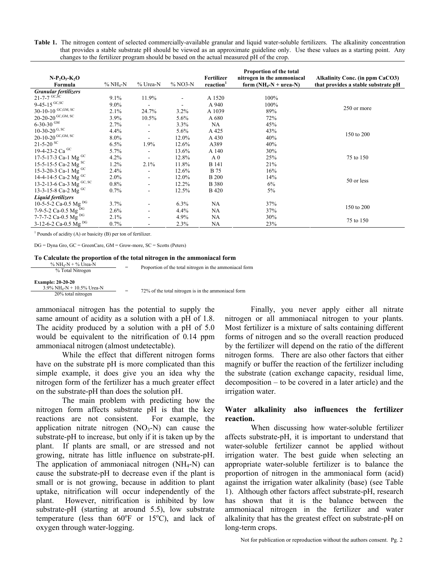**Table 1.** The nitrogen content of selected commercially-available granular and liquid water-soluble fertilizers. The alkalinity concentration that provides a stable substrate pH should be viewed as an approximate guideline only. Use these values as a starting point. Any changes to the fertilizer program should be based on the actual measured pH of the crop.

| $N-P_2O_5-K_2O$<br>Formula                  | $%NH4-N$ | % Urea-N                 | $% NO3-N$ | Fertilizer<br>reaction <sup>1</sup> | Proportion of the total<br>nitrogen in the ammoniacal<br>form $(NH_4-N + urea-N)$ | Alkalinity Conc. (in ppm CaCO3)<br>that provides a stable substrate pH |
|---------------------------------------------|----------|--------------------------|-----------|-------------------------------------|-----------------------------------------------------------------------------------|------------------------------------------------------------------------|
| <b>Granular fertilizers</b>                 |          |                          |           |                                     |                                                                                   |                                                                        |
| $21 - 7 - 7$ <sup>GC,SC</sup>               | 9.1%     | 11.9%                    |           | A 1520                              | 100%                                                                              |                                                                        |
| 9-45-15 $\rm ^{GC,SC}$                      | 9.0%     | $\overline{\phantom{0}}$ |           | A 940                               | 100%                                                                              | 250 or more                                                            |
| 30-10-10 $^{\mathrm{GC},\mathrm{GM, \,SC}}$ | 2.1%     | 24.7%                    | 3.2%      | A 1039                              | 89%                                                                               |                                                                        |
| 20-20-20 $^{\rm GC,GM,\,SC}$                | 3.9%     | 10.5%                    | 5.6%      | A 680                               | 72%                                                                               |                                                                        |
| 6-30-30 $\rm ^{GM}$                         | 2.7%     |                          | 3.3%      | NA                                  | 45%                                                                               |                                                                        |
| 10-30-20 $\rm ^{G,\,SC}$                    | 4.4%     | $\overline{\phantom{0}}$ | 5.6%      | A 425                               | 43%                                                                               | 150 to 200                                                             |
| 20-10-20 $^{\rm GC,GM,\,SC}$                | 8.0%     | $\overline{\phantom{0}}$ | 12.0%     | A 430                               | 40%                                                                               |                                                                        |
| $21 - 5 - 20$ SC                            | 6.5%     | 1.9%                     | 12.6%     | A389                                | 40%                                                                               |                                                                        |
| 19-4-23-2 Ca GC                             | 5.7%     | $\overline{a}$           | 13.6%     | A 140                               | 30%                                                                               |                                                                        |
| 17-5-17-3 Ca-1 Mg GC                        | 4.2%     | $\overline{\phantom{a}}$ | 12.8%     | A <sub>0</sub>                      | 25%                                                                               | 75 to 150                                                              |
| 15-5-15-5 Ca-2 Mg <sup>SC</sup>             | 1.2%     | 2.1%                     | 11.8%     | <b>B</b> 141                        | 21%                                                                               |                                                                        |
| 15-3-20-3 Ca-1 Mg GC                        | 2.4%     | ÷,                       | 12.6%     | <b>B</b> 75                         | 16%                                                                               |                                                                        |
| 14-4-14-5 Ca-2 Mg GC                        | $2.0\%$  | $\overline{\phantom{a}}$ | 12.0%     | <b>B</b> 200                        | 14%                                                                               | 50 or less                                                             |
| 13-2-13-6 Ca-3 Mg GC, SC                    | $0.8\%$  | $\overline{\phantom{0}}$ | 12.2%     | <b>B</b> 380                        | 6%                                                                                |                                                                        |
| 13-3-15-8 Ca-2 Mg <sup>GC</sup>             | 0.7%     | ۰                        | 12.5%     | <b>B</b> 420                        | 5%                                                                                |                                                                        |
| Liquid fertilizers                          |          |                          |           |                                     |                                                                                   |                                                                        |
| 10-5-5-2 Ca-0.5 Mg DG                       | 3.7%     |                          | 6.3%      | NA                                  | 37%                                                                               | 150 to 200                                                             |
| 7-9-5-2 Ca-0.5 Mg DG                        | 2.6%     | $\overline{\phantom{0}}$ | 4.4%      | NA                                  | 37%                                                                               |                                                                        |
| 7-7-7-2 Ca-0.5 Mg $^{DG}$                   | 2.1%     | $\overline{\phantom{0}}$ | 4.9%      | NA                                  | 30%                                                                               | 75 to 150                                                              |
| 3-12-6-2 Ca-0.5 Mg $^{DG}$                  | 0.7%     |                          | 2.3%      | NA                                  | 23%                                                                               |                                                                        |

<sup>1</sup> Pounds of acidity (A) or basicity (B) per ton of fertilizer.

DG = Dyna Gro, GC = GreenCare, GM = Grow-more, SC = Scotts (Peters)

#### **To Calculate the proportion of the total nitrogen in the ammoniacal form**

| $\%$ NH <sub>4</sub> -N + $\%$ Urea-N                 |     | Proportion of the total nitrogen in the ammoniacal form |  |
|-------------------------------------------------------|-----|---------------------------------------------------------|--|
| % Total Nitrogen                                      |     |                                                         |  |
|                                                       |     |                                                         |  |
| <b>Example: 20-20-20</b>                              |     |                                                         |  |
| $3.9\% \text{ NH}_4\text{-N} + 10.5\% \text{ Urea-N}$ | $=$ |                                                         |  |
| 20% total nitrogen                                    |     | 72% of the total nitrogen is in the ammoniacal form     |  |

ammoniacal nitrogen has the potential to supply the same amount of acidity as a solution with a pH of 1.8. The acidity produced by a solution with a pH of 5.0 would be equivalent to the nitrification of 0.14 ppm ammoniacal nitrogen (almost undetectable).

While the effect that different nitrogen forms have on the substrate pH is more complicated than this simple example, it does give you an idea why the nitrogen form of the fertilizer has a much greater effect on the substrate-pH than does the solution pH.

The main problem with predicting how the nitrogen form affects substrate pH is that the key reactions are not consistent. For example, the application nitrate nitrogen  $(NO<sub>3</sub>-N)$  can cause the substrate-pH to increase, but only if it is taken up by the plant. If plants are small, or are stressed and not growing, nitrate has little influence on substrate-pH. The application of ammoniacal nitrogen  $(NH_4-N)$  can cause the substrate-pH to decrease even if the plant is small or is not growing, because in addition to plant uptake, nitrification will occur independently of the plant. However, nitrification is inhibited by low substrate-pH (starting at around 5.5), low substrate temperature (less than  $60^{\circ}$ F or  $15^{\circ}$ C), and lack of oxygen through water-logging.

Finally, you never apply either all nitrate nitrogen or all ammoniacal nitrogen to your plants. Most fertilizer is a mixture of salts containing different forms of nitrogen and so the overall reaction produced by the fertilizer will depend on the ratio of the different nitrogen forms. There are also other factors that either magnify or buffer the reaction of the fertilizer including the substrate (cation exchange capacity, residual lime, decomposition – to be covered in a later article) and the irrigation water.

### **Water alkalinity also influences the fertilizer reaction.**

 When discussing how water-soluble fertilizer affects substrate-pH, it is important to understand that water-soluble fertilizer cannot be applied without irrigation water. The best guide when selecting an appropriate water-soluble fertilizer is to balance the proportion of nitrogen in the ammoniacal form (acid) against the irrigation water alkalinity (base) (see Table 1). Although other factors affect substrate-pH, research has shown that it is the balance between the ammoniacal nitrogen in the fertilizer and water alkalinity that has the greatest effect on substrate-pH on long-term crops.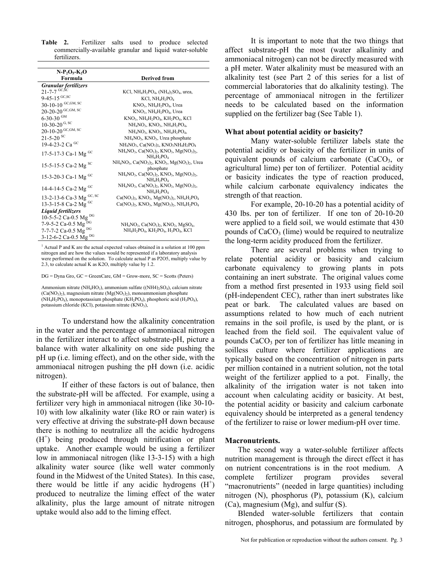**Table 2.** Fertilizer salts used to produce selected commercially-available granular and liquid water-soluble fertilizers.

| $N-P_2O_5-K_2O$<br>Formula      | <b>Derived from</b>                                                                                                                           |  |  |  |
|---------------------------------|-----------------------------------------------------------------------------------------------------------------------------------------------|--|--|--|
|                                 |                                                                                                                                               |  |  |  |
| Granular fertilizers            |                                                                                                                                               |  |  |  |
| $21 - 7 - 7$ <sup>GC,SC</sup>   | KCl, $NH_4H_2PO_4$ , $(NH_4)_2SO_4$ , urea,                                                                                                   |  |  |  |
| $9-45-15$ GC, SC                | KCl, NH <sub>4</sub> H <sub>2</sub> PO <sub>4</sub>                                                                                           |  |  |  |
| 30-10-10 GC, GM, SC             | $KNO3$ , NH <sub>4</sub> H <sub>2</sub> PO <sub>4</sub> , Urea                                                                                |  |  |  |
| 20-20-20 GC, GM, SC             | KNO <sub>3</sub> , NH <sub>4</sub> H <sub>2</sub> PO <sub>4</sub> , Urea                                                                      |  |  |  |
| $6 - 30 - 30$ GM                | $KNO_3$ , $NH_4H_2PO_4$ , $KH_2PO_4$ , $KCl$                                                                                                  |  |  |  |
| 10-30-20 $\rm ^{G,\,SC}$        | $NH4NO3$ , $KNO3$ , $NH4H2PO4$ ,                                                                                                              |  |  |  |
| $20 - 10 - 20$ GC, GM, SC       | $NH4NO3$ , $KNO3$ , $NH4H2PO4$ ,                                                                                                              |  |  |  |
| $21 - 5 - 20$ sc                | $NH4NO3$ , KNO <sub>3</sub> , Urea phosphate                                                                                                  |  |  |  |
| 19-4-23-2 Ca <sup>GC</sup>      | $NH4NO3$ , $Ca(NO3)2$ , $KNO3NH4H2PO4$                                                                                                        |  |  |  |
| 17-5-17-3 Ca-1 Mg <sup>GC</sup> | NH <sub>4</sub> NO <sub>3</sub> , Ca(NO <sub>3</sub> ) <sub>2</sub> , KNO <sub>3</sub> , Mg(NO <sub>3</sub> ) <sub>2</sub> ,<br>$NH_4H_2PO_4$ |  |  |  |
| 15-5-15-5 Ca-2 Mg $^{8}$ C      | $NH4NO3$ , Ca(NO <sub>3</sub> ) <sub>2</sub> , KNO <sub>3</sub> , Mg(NO <sub>3</sub> ) <sub>2</sub> , Urea<br>phosphate                       |  |  |  |
| 15-3-20-3 Ca-1 Mg GC            | $NH_4NO_3$ , Ca(NO <sub>3</sub> ) <sub>2</sub> , KNO <sub>3</sub> , Mg(NO <sub>3</sub> ) <sub>2</sub> ,<br>$NH_4H_2PO_4$                      |  |  |  |
| 14-4-14-5 Ca-2 Mg <sup>GC</sup> | $NH_4NO_3$ , Ca(NO <sub>3</sub> ) <sub>2</sub> , KNO <sub>3</sub> , Mg(NO <sub>3</sub> ) <sub>2</sub> ,<br>$NH_4H_2PO_4$                      |  |  |  |
| 13-2-13-6 Ca-3 Mg GC, SC        | $Ca(NO_3)_2$ , KNO <sub>3</sub> , Mg(NO <sub>3</sub> ) <sub>2</sub> , NH <sub>4</sub> H <sub>2</sub> PO <sub>4</sub>                          |  |  |  |
| 13-3-15-8 Ca-2 Mg GC            | $Ca(NO_3)_{2}$ , KNO <sub>3</sub> , Mg(NO <sub>3</sub> ) <sub>2</sub> , NH <sub>4</sub> H <sub>2</sub> PO <sub>4</sub>                        |  |  |  |
| Liquid fertilizers              |                                                                                                                                               |  |  |  |
| 10-5-5-2 Ca-0.5 Mg DG           |                                                                                                                                               |  |  |  |
| 7-9-5-2 Ca-0.5 Mg <sup>DG</sup> | $NH_4NO_3$ , Ca(NO <sub>3</sub> ) <sub>2</sub> , KNO <sub>3</sub> , MgSO <sub>4</sub> ,                                                       |  |  |  |
| 7-7-7-2 Ca-0.5 Mg DG            | NH <sub>4</sub> H <sub>2</sub> PO <sub>4</sub> , KH <sub>2</sub> PO <sub>4</sub> , H <sub>3</sub> PO <sub>4</sub> , KCl                       |  |  |  |
| 3-12-6-2 Ca-0.5 Mg DG           |                                                                                                                                               |  |  |  |

 $<sup>1</sup>$  Actual P and K are the actual expected values obtained in a solution at 100 ppm</sup> nitrogen and are how the values would be represented if a laboratory analysis were performed on the solution. To calculate actual P as P2O5, multiply value by 2.3, to calculate actual K as K2O, multiply value by 1.2.

DG = Dyna Gro, GC = GreenCare, GM = Grow-more, SC = Scotts (Peters)

Ammonium nitrate (NH<sub>4</sub>HO<sub>3</sub>), ammonium sulfate ((NH4)<sub>2</sub>SO<sub>4</sub>), calcium nitrate  $(Ca(NO<sub>3</sub>)<sub>2</sub>)$ , magnesium nitrate  $(Mg(NO<sub>3</sub>)<sub>2</sub>)$ , monoammonium phosphate  $(NH_4H_2PO_4)$ , monopotassium phosphate  $(KH_2PO_4)$ , phosphoric acid  $(H_3PO_4)$ , potassium chloride (KCl), potassium nitrate (KNO3),

To understand how the alkalinity concentration in the water and the percentage of ammoniacal nitrogen in the fertilizer interact to affect substrate-pH, picture a balance with water alkalinity on one side pushing the pH up (i.e. liming effect), and on the other side, with the ammoniacal nitrogen pushing the pH down (i.e. acidic nitrogen).

If either of these factors is out of balance, then the substrate-pH will be affected. For example, using a fertilizer very high in ammoniacal nitrogen (like 30-10- 10) with low alkalinity water (like RO or rain water) is very effective at driving the substrate-pH down because there is nothing to neutralize all the acidic hydrogens (H<sup>+</sup>) being produced through nitrification or plant uptake. Another example would be using a fertilizer low in ammoniacal nitrogen (like 13-3-15) with a high alkalinity water source (like well water commonly found in the Midwest of the United States). In this case, there would be little if any acidic hydrogens  $(H<sup>+</sup>)$ produced to neutralize the liming effect of the water alkalinity, plus the large amount of nitrate nitrogen uptake would also add to the liming effect.

It is important to note that the two things that affect substrate-pH the most (water alkalinity and ammoniacal nitrogen) can not be directly measured with a pH meter. Water alkalinity must be measured with an alkalinity test (see Part 2 of this series for a list of commercial laboratories that do alkalinity testing). The percentage of ammoniacal nitrogen in the fertilizer needs to be calculated based on the information supplied on the fertilizer bag (See Table 1).

#### **What about potential acidity or basicity?**

 Many water-soluble fertilizer labels state the potential acidity or basicity of the fertilizer in units of equivalent pounds of calcium carbonate  $(CaCO<sub>3</sub>)$ , or agricultural lime) per ton of fertilizer. Potential acidity or basicity indicates the type of reaction produced, while calcium carbonate equivalency indicates the strength of that reaction.

 For example, 20-10-20 has a potential acidity of 430 lbs. per ton of fertilizer. If one ton of 20-10-20 were applied to a field soil, we would estimate that 430 pounds of  $CaCO<sub>3</sub>$  (lime) would be required to neutralize the long-term acidity produced from the fertilizer.

 There are several problems when trying to relate potential acidity or basicity and calcium carbonate equivalency to growing plants in pots containing an inert substrate. The original values come from a method first presented in 1933 using field soil (pH-independent CEC), rather than inert substrates like peat or bark. The calculated values are based on assumptions related to how much of each nutrient remains in the soil profile, is used by the plant, or is leached from the field soil. The equivalent value of pounds  $CaCO<sub>3</sub>$  per ton of fertilizer has little meaning in soilless culture where fertilizer applications are typically based on the concentration of nitrogen in parts per million contained in a nutrient solution, not the total weight of the fertilizer applied to a pot. Finally, the alkalinity of the irrigation water is not taken into account when calculating acidity or basicity. At best, the potential acidity or basicity and calcium carbonate equivalency should be interpreted as a general tendency of the fertilizer to raise or lower medium-pH over time.

#### **Macronutrients.**

The second way a water-soluble fertilizer affects nutrition management is through the direct effect it has on nutrient concentrations is in the root medium. A complete fertilizer program provides several "macronutrients" (needed in large quantities) including nitrogen (N), phosphorus (P), potassium (K), calcium (Ca), magnesium (Mg), and sulfur (S).

Blended water-soluble fertilizers that contain nitrogen, phosphorus, and potassium are formulated by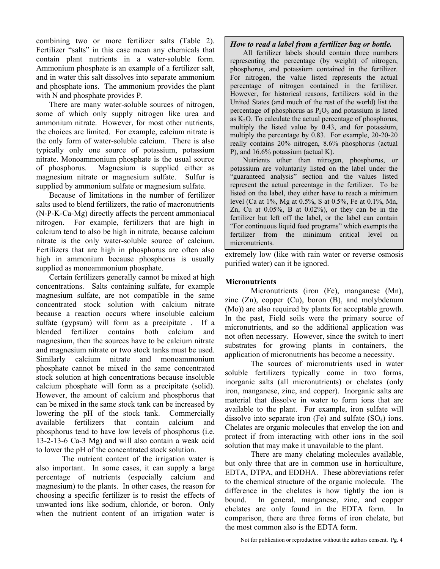combining two or more fertilizer salts (Table 2). Fertilizer "salts" in this case mean any chemicals that contain plant nutrients in a water-soluble form. Ammonium phosphate is an example of a fertilizer salt, and in water this salt dissolves into separate ammonium and phosphate ions. The ammonium provides the plant with N and phosphate provides P.

There are many water-soluble sources of nitrogen, some of which only supply nitrogen like urea and ammonium nitrate. However, for most other nutrients, the choices are limited. For example, calcium nitrate is the only form of water-soluble calcium. There is also typically only one source of potassium, potassium nitrate. Monoammonium phosphate is the usual source of phosphorus. Magnesium is supplied either as magnesium nitrate or magnesium sulfate. Sulfur is supplied by ammonium sulfate or magnesium sulfate.

Because of limitations in the number of fertilizer salts used to blend fertilizers, the ratio of macronutrients (N-P-K-Ca-Mg) directly affects the percent ammoniacal nitrogen. For example, fertilizers that are high in calcium tend to also be high in nitrate, because calcium nitrate is the only water-soluble source of calcium. Fertilizers that are high in phosphorus are often also high in ammonium because phosphorus is usually supplied as monoammonium phosphate.

Certain fertilizers generally cannot be mixed at high concentrations. Salts containing sulfate, for example magnesium sulfate, are not compatible in the same concentrated stock solution with calcium nitrate because a reaction occurs where insoluble calcium sulfate (gypsum) will form as a precipitate . If a blended fertilizer contains both calcium and magnesium, then the sources have to be calcium nitrate and magnesium nitrate or two stock tanks must be used. Similarly calcium nitrate and monoammonium phosphate cannot be mixed in the same concentrated stock solution at high concentrations because insoluble calcium phosphate will form as a precipitate (solid). However, the amount of calcium and phosphorus that can be mixed in the same stock tank can be increased by lowering the pH of the stock tank. Commercially available fertilizers that contain calcium and phosphorus tend to have low levels of phosphorus (i.e. 13-2-13-6 Ca-3 Mg) and will also contain a weak acid to lower the pH of the concentrated stock solution.

 The nutrient content of the irrigation water is also important. In some cases, it can supply a large percentage of nutrients (especially calcium and magnesium) to the plants. In other cases, the reason for choosing a specific fertilizer is to resist the effects of unwanted ions like sodium, chloride, or boron. Only when the nutrient content of an irrigation water is

### *How to read a label from a fertilizer bag or bottle.*

All fertilizer labels should contain three numbers representing the percentage (by weight) of nitrogen, phosphorus, and potassium contained in the fertilizer. For nitrogen, the value listed represents the actual percentage of nitrogen contained in the fertilizer. However, for historical reasons, fertilizers sold in the United States (and much of the rest of the world) list the percentage of phosphorus as  $P_2O_5$  and potassium is listed as  $K<sub>2</sub>O$ . To calculate the actual percentage of phosphorus, multiply the listed value by 0.43, and for potassium, multiply the percentage by 0.83. For example, 20-20-20 really contains 20% nitrogen, 8.6% phosphorus (actual P), and 16.6% potassium (actual K).

Nutrients other than nitrogen, phosphorus, or potassium are voluntarily listed on the label under the "guaranteed analysis" section and the values listed represent the actual percentage in the fertilizer. To be listed on the label, they either have to reach a minimum level (Ca at 1%, Mg at 0.5%, S at 0.5%, Fe at 0.1%, Mn, Zn, Cu at 0.05%, B at 0.02%), or they can be in the fertilizer but left off the label, or the label can contain "For continuous liquid feed programs" which exempts the fertilizer from the minimum critical level on micronutrients.

extremely low (like with rain water or reverse osmosis purified water) can it be ignored.

## **Micronutrients**

Micronutrients (iron (Fe), manganese (Mn), zinc (Zn), copper (Cu), boron (B), and molybdenum (Mo)) are also required by plants for acceptable growth. In the past, Field soils were the primary source of micronutrients, and so the additional application was not often necessary. However, since the switch to inert substrates for growing plants in containers, the application of micronutrients has become a necessity.

 The sources of micronutrients used in water soluble fertilizers typically come in two forms, inorganic salts (all micronutrients) or chelates (only iron, manganese, zinc, and copper). Inorganic salts are material that dissolve in water to form ions that are available to the plant. For example, iron sulfate will dissolve into separate iron (Fe) and sulfate  $(SO<sub>4</sub>)$  ions. Chelates are organic molecules that envelop the ion and protect if from interacting with other ions in the soil solution that may make it unavailable to the plant.

There are many chelating molecules available, but only three that are in common use in horticulture, EDTA, DTPA, and EDDHA. These abbreviations refer to the chemical structure of the organic molecule. The difference in the chelates is how tightly the ion is bound. In general, manganese, zinc, and copper chelates are only found in the EDTA form. In comparison, there are three forms of iron chelate, but the most common also is the EDTA form.